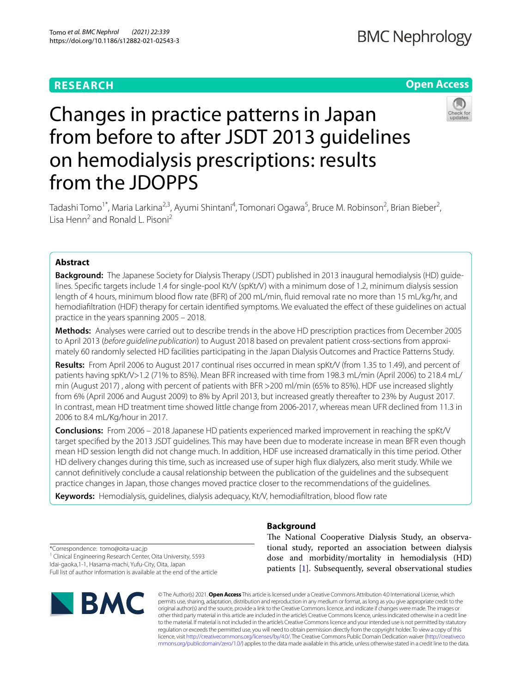## **RESEARCH**

## **Open Access**



# Changes in practice patterns in Japan from before to after JSDT 2013 guidelines on hemodialysis prescriptions: results from the JDOPPS

Tadashi Tomo<sup>1\*</sup>, Maria Larkina<sup>2,3</sup>, Ayumi Shintani<sup>4</sup>, Tomonari Ogawa<sup>5</sup>, Bruce M. Robinson<sup>2</sup>, Brian Bieber<sup>2</sup>, Lisa Henn2 and Ronald L. Pisoni2

## **Abstract**

**Background:** The Japanese Society for Dialysis Therapy (JSDT) published in 2013 inaugural hemodialysis (HD) guidelines. Specific targets include 1.4 for single-pool Kt/V (spKt/V) with a minimum dose of 1.2, minimum dialysis session length of 4 hours, minimum blood fow rate (BFR) of 200 mL/min, fuid removal rate no more than 15 mL/kg/hr, and hemodiafltration (HDF) therapy for certain identifed symptoms. We evaluated the efect of these guidelines on actual practice in the years spanning 2005 – 2018.

**Methods:** Analyses were carried out to describe trends in the above HD prescription practices from December 2005 to April 2013 (*before guideline publication*) to August 2018 based on prevalent patient cross-sections from approximately 60 randomly selected HD facilities participating in the Japan Dialysis Outcomes and Practice Patterns Study.

**Results:** From April 2006 to August 2017 continual rises occurred in mean spKt/V (from 1.35 to 1.49), and percent of patients having spKt/V>1.2 (71% to 85%). Mean BFR increased with time from 198.3 mL/min (April 2006) to 218.4 mL/ min (August 2017) , along with percent of patients with BFR >200 ml/min (65% to 85%). HDF use increased slightly from 6% (April 2006 and August 2009) to 8% by April 2013, but increased greatly thereafter to 23% by August 2017. In contrast, mean HD treatment time showed little change from 2006-2017, whereas mean UFR declined from 11.3 in 2006 to 8.4 mL/Kg/hour in 2017.

**Conclusions:** From 2006 – 2018 Japanese HD patients experienced marked improvement in reaching the spKt/V target specifed by the 2013 JSDT guidelines. This may have been due to moderate increase in mean BFR even though mean HD session length did not change much. In addition, HDF use increased dramatically in this time period. Other HD delivery changes during this time, such as increased use of super high fux dialyzers, also merit study. While we cannot defnitively conclude a causal relationship between the publication of the guidelines and the subsequent practice changes in Japan, those changes moved practice closer to the recommendations of the guidelines.

Keywords: Hemodialysis, guidelines, dialysis adequacy, Kt/V, hemodiafiltration, blood flow rate

**Background**

The National Cooperative Dialysis Study, an observational study, reported an association between dialysis dose and morbidity/mortality in hemodialysis (HD) patients [\[1](#page-7-0)]. Subsequently, several observational studies

\*Correspondence: tomo@oita-u.ac.jp <sup>1</sup> Clinical Engineering Research Center, Oita University, 5593 Idai-gaoka,1-1, Hasama-machi, Yufu-City, Oita, Japan Full list of author information is available at the end of the article



© The Author(s) 2021. **Open Access** This article is licensed under a Creative Commons Attribution 4.0 International License, which permits use, sharing, adaptation, distribution and reproduction in any medium or format, as long as you give appropriate credit to the original author(s) and the source, provide a link to the Creative Commons licence, and indicate if changes were made. The images or other third party material in this article are included in the article's Creative Commons licence, unless indicated otherwise in a credit line to the material. If material is not included in the article's Creative Commons licence and your intended use is not permitted by statutory regulation or exceeds the permitted use, you will need to obtain permission directly from the copyright holder. To view a copy of this licence, visit [http://creativecommons.org/licenses/by/4.0/.](http://creativecommons.org/licenses/by/4.0/) The Creative Commons Public Domain Dedication waiver ([http://creativeco](http://creativecommons.org/publicdomain/zero/1.0/) [mmons.org/publicdomain/zero/1.0/](http://creativecommons.org/publicdomain/zero/1.0/)) applies to the data made available in this article, unless otherwise stated in a credit line to the data.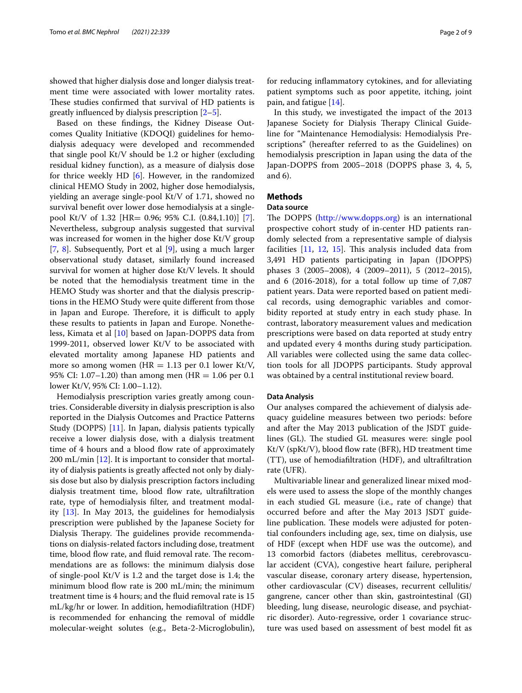showed that higher dialysis dose and longer dialysis treatment time were associated with lower mortality rates. These studies confirmed that survival of HD patients is greatly influenced by dialysis prescription  $[2-5]$  $[2-5]$ .

Based on these fndings, the Kidney Disease Outcomes Quality Initiative (KDOQI) guidelines for hemodialysis adequacy were developed and recommended that single pool Kt/V should be 1.2 or higher (excluding residual kidney function), as a measure of dialysis dose for thrice weekly HD [[6\]](#page-7-3). However, in the randomized clinical HEMO Study in 2002, higher dose hemodialysis, yielding an average single-pool Kt/V of 1.71, showed no survival beneft over lower dose hemodialysis at a singlepool Kt/V of 1.32 [HR= 0.96; 95% C.I. (0.84,1.10)] [\[7](#page-7-4)]. Nevertheless, subgroup analysis suggested that survival was increased for women in the higher dose Kt/V group [[7,](#page-7-4) [8\]](#page-7-5). Subsequently, Port et al [[9\]](#page-7-6), using a much larger observational study dataset, similarly found increased survival for women at higher dose Kt/V levels. It should be noted that the hemodialysis treatment time in the HEMO Study was shorter and that the dialysis prescriptions in the HEMO Study were quite diferent from those in Japan and Europe. Therefore, it is difficult to apply these results to patients in Japan and Europe. Nonetheless, Kimata et al [\[10](#page-7-7)] based on Japan-DOPPS data from 1999-2011, observed lower Kt/V to be associated with elevated mortality among Japanese HD patients and more so among women ( $HR = 1.13$  per 0.1 lower Kt/V, 95% CI: 1.07–1.20) than among men (HR = 1.06 per 0.1 lower Kt/V, 95% CI: 1.00–1.12).

Hemodialysis prescription varies greatly among countries. Considerable diversity in dialysis prescription is also reported in the Dialysis Outcomes and Practice Patterns Study (DOPPS) [[11\]](#page-7-8). In Japan, dialysis patients typically receive a lower dialysis dose, with a dialysis treatment time of 4 hours and a blood flow rate of approximately 200 mL/min  $[12]$  $[12]$ . It is important to consider that mortality of dialysis patients is greatly afected not only by dialysis dose but also by dialysis prescription factors including dialysis treatment time, blood flow rate, ultrafiltration rate, type of hemodialysis flter, and treatment modality [[13\]](#page-7-10). In May 2013, the guidelines for hemodialysis prescription were published by the Japanese Society for Dialysis Therapy. The guidelines provide recommendations on dialysis-related factors including dose, treatment time, blood flow rate, and fluid removal rate. The recommendations are as follows: the minimum dialysis dose of single-pool Kt/V is 1.2 and the target dose is 1.4; the minimum blood flow rate is 200 mL/min; the minimum treatment time is 4 hours; and the fuid removal rate is 15 mL/kg/hr or lower. In addition, hemodiafltration (HDF) is recommended for enhancing the removal of middle molecular-weight solutes (e.g., Beta-2-Microglobulin),

for reducing infammatory cytokines, and for alleviating patient symptoms such as poor appetite, itching, joint pain, and fatigue [[14\]](#page-7-11).

In this study, we investigated the impact of the 2013 Japanese Society for Dialysis Therapy Clinical Guideline for "Maintenance Hemodialysis: Hemodialysis Prescriptions" (hereafter referred to as the Guidelines) on hemodialysis prescription in Japan using the data of the Japan-DOPPS from 2005–2018 (DOPPS phase 3, 4, 5, and 6).

### **Methods**

#### **Data source**

The DOPPS [\(http://www.dopps.org](http://www.dopps.org)) is an international prospective cohort study of in-center HD patients randomly selected from a representative sample of dialysis facilities  $[11, 12, 15]$  $[11, 12, 15]$  $[11, 12, 15]$  $[11, 12, 15]$  $[11, 12, 15]$  $[11, 12, 15]$ . This analysis included data from 3,491 HD patients participating in Japan (JDOPPS) phases 3 (2005–2008), 4 (2009–2011), 5 (2012–2015), and 6 (2016-2018), for a total follow up time of 7,087 patient years. Data were reported based on patient medical records, using demographic variables and comorbidity reported at study entry in each study phase. In contrast, laboratory measurement values and medication prescriptions were based on data reported at study entry and updated every 4 months during study participation. All variables were collected using the same data collection tools for all JDOPPS participants. Study approval was obtained by a central institutional review board.

#### **Data Analysis**

Our analyses compared the achievement of dialysis adequacy guideline measures between two periods: before and after the May 2013 publication of the JSDT guidelines (GL). The studied GL measures were: single pool  $Kt/V$  (sp $Kt/V$ ), blood flow rate (BFR), HD treatment time (TT), use of hemodiafltration (HDF), and ultrafltration rate (UFR).

Multivariable linear and generalized linear mixed models were used to assess the slope of the monthly changes in each studied GL measure (i.e., rate of change) that occurred before and after the May 2013 JSDT guideline publication. These models were adjusted for potential confounders including age, sex, time on dialysis, use of HDF (except when HDF use was the outcome), and 13 comorbid factors (diabetes mellitus, cerebrovascular accident (CVA), congestive heart failure, peripheral vascular disease, coronary artery disease, hypertension, other cardiovascular (CV) diseases, recurrent cellulitis/ gangrene, cancer other than skin, gastrointestinal (GI) bleeding, lung disease, neurologic disease, and psychiatric disorder). Auto-regressive, order 1 covariance structure was used based on assessment of best model ft as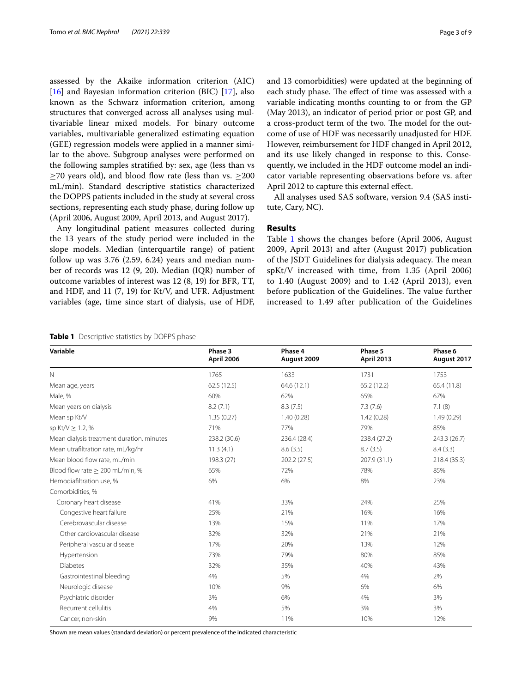assessed by the Akaike information criterion (AIC) [[16\]](#page-8-1) and Bayesian information criterion (BIC) [[17](#page-8-2)], also known as the Schwarz information criterion, among structures that converged across all analyses using multivariable linear mixed models. For binary outcome variables, multivariable generalized estimating equation (GEE) regression models were applied in a manner similar to the above. Subgroup analyses were performed on the following samples stratifed by: sex, age (less than vs  $\geq$ 70 years old), and blood flow rate (less than vs.  $\geq$ 200 mL/min). Standard descriptive statistics characterized the DOPPS patients included in the study at several cross sections, representing each study phase, during follow up (April 2006, August 2009, April 2013, and August 2017).

Any longitudinal patient measures collected during the 13 years of the study period were included in the slope models. Median (interquartile range) of patient follow up was 3.76 (2.59, 6.24) years and median number of records was 12 (9, 20). Median (IQR) number of outcome variables of interest was 12 (8, 19) for BFR, TT, and HDF, and 11 (7, 19) for Kt/V, and UFR. Adjustment variables (age, time since start of dialysis, use of HDF,

and 13 comorbidities) were updated at the beginning of each study phase. The effect of time was assessed with a variable indicating months counting to or from the GP (May 2013), an indicator of period prior or post GP, and a cross-product term of the two. The model for the outcome of use of HDF was necessarily unadjusted for HDF. However, reimbursement for HDF changed in April 2012, and its use likely changed in response to this. Consequently, we included in the HDF outcome model an indicator variable representing observations before vs. after April 2012 to capture this external efect.

All analyses used SAS software, version 9.4 (SAS institute, Cary, NC).

#### **Results**

Table [1](#page-2-0) shows the changes before (April 2006, August 2009, April 2013) and after (August 2017) publication of the JSDT Guidelines for dialysis adequacy. The mean spKt/V increased with time, from 1.35 (April 2006) to 1.40 (August 2009) and to 1.42 (April 2013), even before publication of the Guidelines. The value further increased to 1.49 after publication of the Guidelines

<span id="page-2-0"></span>**Table 1** Descriptive statistics by DOPPS phase

| Variable                                  | Phase 3<br>April 2006 | Phase 4<br>August 2009 | Phase 5<br><b>April 2013</b> | Phase 6<br>August 2017 |  |
|-------------------------------------------|-----------------------|------------------------|------------------------------|------------------------|--|
| N                                         | 1765                  | 1633                   | 1731                         | 1753                   |  |
| Mean age, years                           | 62.5(12.5)            | 64.6 (12.1)            | 65.2(12.2)                   | 65.4(11.8)             |  |
| Male, %                                   | 60%                   | 62%                    | 65%                          | 67%                    |  |
| Mean years on dialysis                    | 8.2(7.1)              | 8.3(7.5)               | 7.3(7.6)                     | 7.1(8)                 |  |
| Mean sp Kt/V                              | 1.35(0.27)            | 1.40(0.28)             | 1.42(0.28)                   | 1.49(0.29)             |  |
| sp Kt/V $\geq$ 1.2, %                     | 71%                   | 77%                    | 79%                          | 85%                    |  |
| Mean dialysis treatment duration, minutes | 238.2 (30.6)          | 236.4 (28.4)           | 238.4 (27.2)                 | 243.3 (26.7)           |  |
| Mean utrafiltration rate, mL/kg/hr        | 11.3(4.1)             | 8.6(3.5)               | 8.7(3.5)                     | 8.4(3.3)               |  |
| Mean blood flow rate, mL/min              | 198.3 (27)            | 202.2 (27.5)           | 207.9 (31.1)                 | 218.4 (35.3)           |  |
| Blood flow rate $\geq 200$ mL/min, %      | 65%                   | 72%                    | 78%                          | 85%                    |  |
| Hemodiafiltration use, %                  | 6%                    | 6%                     | 8%                           | 23%                    |  |
| Comorbidities, %                          |                       |                        |                              |                        |  |
| Coronary heart disease                    | 41%                   | 33%                    | 24%                          | 25%                    |  |
| Congestive heart failure                  | 25%                   | 21%                    | 16%                          | 16%                    |  |
| Cerebrovascular disease                   | 13%                   | 15%                    | 11%                          | 17%                    |  |
| Other cardiovascular disease              | 32%                   | 32%                    | 21%                          | 21%                    |  |
| Peripheral vascular disease               | 17%                   | 20%                    | 13%                          | 12%                    |  |
| Hypertension                              | 73%                   | 79%                    | 80%                          | 85%                    |  |
| <b>Diabetes</b>                           | 32%                   | 35%                    | 40%                          | 43%                    |  |
| Gastrointestinal bleeding                 | 4%                    | 5%                     | 4%                           | 2%                     |  |
| Neurologic disease                        | 10%                   | 9%                     | 6%                           | 6%                     |  |
| Psychiatric disorder                      | 3%                    | 6%                     | 4%                           | 3%                     |  |
| Recurrent cellulitis                      | 4%                    | 5%                     | 3%                           | 3%                     |  |
| Cancer, non-skin                          | 9%                    | 11%                    | 10%                          | 12%                    |  |
|                                           |                       |                        |                              |                        |  |

Shown are mean values (standard deviation) or percent prevalence of the indicated characteristic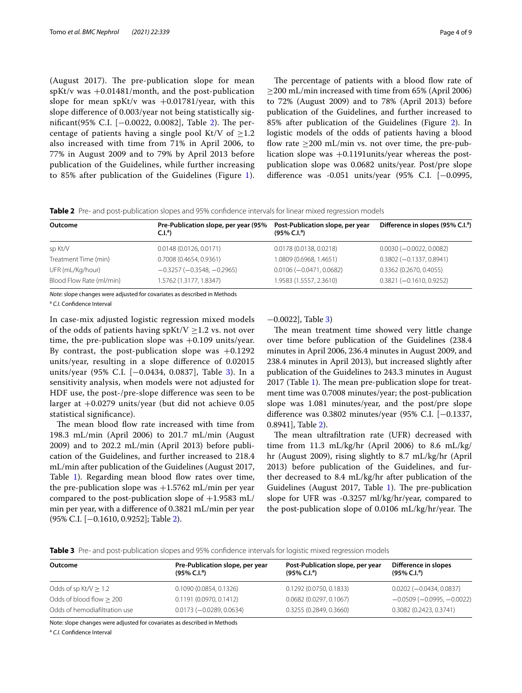(August 2017). The pre-publication slope for mean  $spKt/v$  was  $+0.01481/m$  onth, and the post-publication slope for mean spKt/v was  $+0.01781$ /year, with this slope diference of 0.003/year not being statistically sig-nificant(95% C.I. [-0.0022, 0.0082], Table [2\)](#page-3-0). The percentage of patients having a single pool Kt/V of  $\geq$ 1.2 also increased with time from 71% in April 2006, to 77% in August 2009 and to 79% by April 2013 before publication of the Guidelines, while further increasing to 85% after publication of the Guidelines (Figure [1\)](#page-4-0).

The percentage of patients with a blood flow rate of  $\geq$ 200 mL/min increased with time from 65% (April 2006) to 72% (August 2009) and to 78% (April 2013) before publication of the Guidelines, and further increased to 85% after publication of the Guidelines (Figure [2\)](#page-4-1). In logistic models of the odds of patients having a blood flow rate  $\geq$ 200 mL/min vs. not over time, the pre-publication slope was +0.1191units/year whereas the postpublication slope was 0.0682 units/year. Post/pre slope diference was -0.051 units/year (95% C.I. [−0.0995,

<span id="page-3-0"></span>

|  | <b>Table 2</b> Pre- and post-publication slopes and 95% confidence intervals for linear mixed regression models |  |  |  |
|--|-----------------------------------------------------------------------------------------------------------------|--|--|--|
|  |                                                                                                                 |  |  |  |

| Outcome                  | Pre-Publication slope, per year (95%<br>C.I. <sup>a</sup> | Post-Publication slope, per year<br>$(95\% \text{ C.I.}^a)$ | Difference in slopes (95% C.I. <sup>a</sup> ) |
|--------------------------|-----------------------------------------------------------|-------------------------------------------------------------|-----------------------------------------------|
| sp Kt/V                  | 0.0148(0.0126, 0.0171)                                    | 0.0178 (0.0138, 0.0218)                                     | $0.0030 (-0.0022, 0.0082)$                    |
| Treatment Time (min)     | 0.7008 (0.4654, 0.9361)                                   | 1.0809 (0.6968, 1.4651)                                     | $0.3802 (-0.1337, 0.8941)$                    |
| UFR (mL/Kg/hour)         | $-0.3257(-0.3548, -0.2965)$                               | $0.0106 (-0.0471, 0.0682)$                                  | 0.3362 (0.2670, 0.4055)                       |
| Blood Flow Rate (ml/min) | 1.5762 (1.3177, 1.8347)                                   | 1.9583 (1.5557, 2.3610)                                     | $0.3821 (-0.1610, 0.9252)$                    |

*Note*: slope changes were adjusted for covariates as described in Methods

<sup>a</sup> *C.I.* Confdence Interval

In case-mix adjusted logistic regression mixed models of the odds of patients having spKt/V  $\geq$  1.2 vs. not over time, the pre-publication slope was  $+0.109$  units/year. By contrast, the post-publication slope was  $+0.1292$ units/year, resulting in a slope diference of 0.02015 units/year (95% C.I. [−0.0434, 0.0837], Table [3\)](#page-3-1). In a sensitivity analysis, when models were not adjusted for HDF use, the post-/pre-slope diference was seen to be larger at +0.0279 units/year (but did not achieve 0.05 statistical signifcance).

The mean blood flow rate increased with time from 198.3 mL/min (April 2006) to 201.7 mL/min (August 2009) and to 202.2 mL/min (April 2013) before publication of the Guidelines, and further increased to 218.4 mL/min after publication of the Guidelines (August 2017, Table [1\)](#page-2-0). Regarding mean blood flow rates over time, the pre-publication slope was  $+1.5762$  mL/min per year compared to the post-publication slope of  $+1.9583$  mL/ min per year, with a diference of 0.3821 mL/min per year (95% C.I. [−0.1610, 0.9252]; Table [2](#page-3-0)).

−0.0022], Table [3](#page-3-1))

The mean treatment time showed very little change over time before publication of the Guidelines (238.4 minutes in April 2006, 236.4 minutes in August 2009, and 238.4 minutes in April 2013), but increased slightly after publication of the Guidelines to 243.3 minutes in August  $2017$  $2017$  $2017$  (Table 1). The mean pre-publication slope for treatment time was 0.7008 minutes/year; the post-publication slope was 1.081 minutes/year, and the post/pre slope diference was 0.3802 minutes/year (95% C.I. [−0.1337, 0.8941], Table [2\)](#page-3-0).

The mean ultrafiltration rate (UFR) decreased with time from 11.3 mL/kg/hr (April 2006) to 8.6 mL/kg/ hr (August 2009), rising slightly to 8.7 mL/kg/hr (April 2013) before publication of the Guidelines, and further decreased to 8.4 mL/kg/hr after publication of the Guidelines (August 20[1](#page-2-0)7, Table 1). The pre-publication slope for UFR was -0.3257 ml/kg/hr/year, compared to the post-publication slope of  $0.0106$  mL/kg/hr/year. The

<span id="page-3-1"></span>**Table 3** Pre- and post-publication slopes and 95% confdence intervals for logistic mixed regression models

| Outcome                       | Pre-Publication slope, per year<br>$(95\% \text{ C}$ .I. <sup>a</sup> ) | Post-Publication slope, per year<br>$(95\% \text{ C.I.}^a)$ | Difference in slopes<br>$(95\% \text{ C.I.}^a)$ |
|-------------------------------|-------------------------------------------------------------------------|-------------------------------------------------------------|-------------------------------------------------|
| Odds of sp $Kt/V > 1.2$       | 0.1090 (0.0854, 0.1326)                                                 | 0.1292 (0.0750, 0.1833)                                     | $0.0202 (-0.0434, 0.0837)$                      |
| Odds of blood flow $> 200$    | 0.1191(0.0970, 0.1412)                                                  | $0.0682$ (0.0297, 0.1067)                                   | $-0.0509$ ( $-0.0995$ , $-0.0022$ )             |
| Odds of hemodiafiltration use | $0.0173 (-0.0289, 0.0634)$                                              | 0.3255 (0.2849, 0.3660)                                     | 0.3082 (0.2423, 0.3741)                         |

Note: slope changes were adjusted for covariates as described in Methods

<sup>a</sup> C.I. Confidence Interval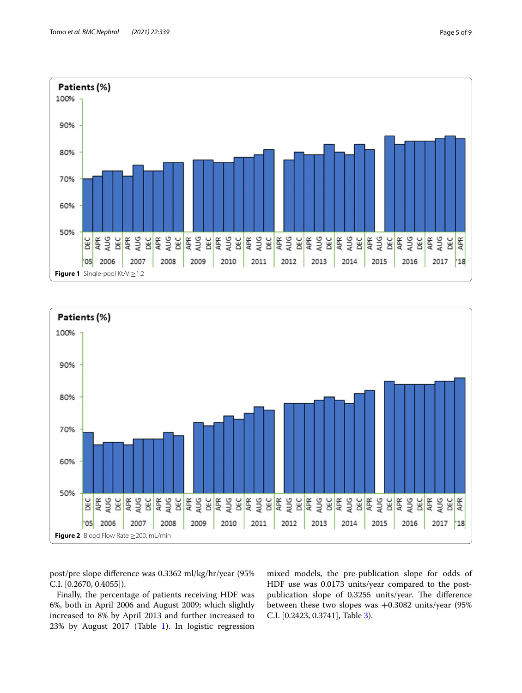

<span id="page-4-0"></span>

<span id="page-4-1"></span>post/pre slope diference was 0.3362 ml/kg/hr/year (95% C.I. [0.2670, 0.4055]).

Finally, the percentage of patients receiving HDF was 6%, both in April 2006 and August 2009; which slightly increased to 8% by April 2013 and further increased to 23% by August 2017 (Table [1](#page-2-0)). In logistic regression mixed models, the pre-publication slope for odds of HDF use was 0.0173 units/year compared to the postpublication slope of 0.3255 units/year. The difference between these two slopes was  $+0.3082$  units/year (95%) C.I. [0.2423, 0.3741], Table [3](#page-3-1)).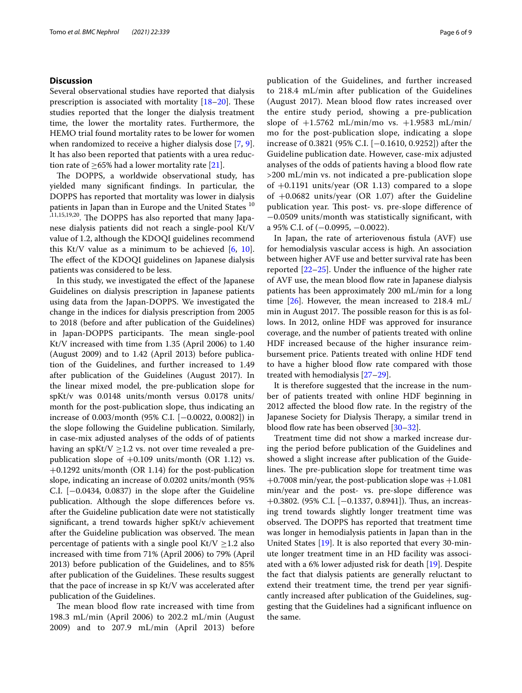#### **Discussion**

Several observational studies have reported that dialysis prescription is associated with mortality  $[18–20]$  $[18–20]$ . These studies reported that the longer the dialysis treatment time, the lower the mortality rates. Furthermore, the HEMO trial found mortality rates to be lower for women when randomized to receive a higher dialysis dose [\[7](#page-7-4), [9](#page-7-6)]. It has also been reported that patients with a urea reduction rate of  $>65\%$  had a lower mortality rate [\[21](#page-8-5)].

The DOPPS, a worldwide observational study, has yielded many signifcant fndings. In particular, the DOPPS has reported that mortality was lower in dialysis patients in Japan than in Europe and the United States<sup>10</sup> ,11,15,19,20. The DOPPS has also reported that many Japanese dialysis patients did not reach a single-pool Kt/V value of 1.2, although the KDOQI guidelines recommend this Kt/V value as a minimum to be achieved  $[6, 10]$  $[6, 10]$  $[6, 10]$  $[6, 10]$  $[6, 10]$ . The effect of the KDOQI guidelines on Japanese dialysis patients was considered to be less.

In this study, we investigated the efect of the Japanese Guidelines on dialysis prescription in Japanese patients using data from the Japan-DOPPS. We investigated the change in the indices for dialysis prescription from 2005 to 2018 (before and after publication of the Guidelines) in Japan-DOPPS participants. The mean single-pool Kt/V increased with time from 1.35 (April 2006) to 1.40 (August 2009) and to 1.42 (April 2013) before publication of the Guidelines, and further increased to 1.49 after publication of the Guidelines (August 2017). In the linear mixed model, the pre-publication slope for spKt/v was 0.0148 units/month versus 0.0178 units/ month for the post-publication slope, thus indicating an increase of 0.003/month (95% C.I. [−0.0022, 0.0082]) in the slope following the Guideline publication. Similarly, in case-mix adjusted analyses of the odds of of patients having an spKt/V  $\geq$ 1.2 vs. not over time revealed a prepublication slope of  $+0.109$  units/month (OR 1.12) vs. +0.1292 units/month (OR 1.14) for the post-publication slope, indicating an increase of 0.0202 units/month (95% C.I.  $[-0.0434, 0.0837)$  in the slope after the Guideline publication. Although the slope diferences before vs. after the Guideline publication date were not statistically signifcant, a trend towards higher spKt/v achievement after the Guideline publication was observed. The mean percentage of patients with a single pool  $Kt/V \geq 1.2$  also increased with time from 71% (April 2006) to 79% (April 2013) before publication of the Guidelines, and to 85% after publication of the Guidelines. These results suggest that the pace of increase in sp Kt/V was accelerated after publication of the Guidelines.

The mean blood flow rate increased with time from 198.3 mL/min (April 2006) to 202.2 mL/min (August 2009) and to 207.9 mL/min (April 2013) before publication of the Guidelines, and further increased to 218.4 mL/min after publication of the Guidelines (August 2017). Mean blood flow rates increased over the entire study period, showing a pre-publication slope of +1.5762 mL/min/mo vs. +1.9583 mL/min/ mo for the post-publication slope, indicating a slope increase of 0.3821 (95% C.I. [−0.1610, 0.9252]) after the Guideline publication date. However, case-mix adjusted analyses of the odds of patients having a blood flow rate >200 mL/min vs. not indicated a pre-publication slope of  $+0.1191$  units/year (OR 1.13) compared to a slope of +0.0682 units/year (OR 1.07) after the Guideline publication year. This post- vs. pre-slope difference of −0.0509 units/month was statistically signifcant, with a 95% C.I. of (−0.0995, −0.0022).

In Japan, the rate of arteriovenous fstula (AVF) use for hemodialysis vascular access is high. An association between higher AVF use and better survival rate has been reported [[22](#page-8-6)[–25](#page-8-7)]. Under the infuence of the higher rate of AVF use, the mean blood fow rate in Japanese dialysis patients has been approximately 200 mL/min for a long time [[26\]](#page-8-8). However, the mean increased to 218.4 mL/ min in August 2017. The possible reason for this is as follows. In 2012, online HDF was approved for insurance coverage, and the number of patients treated with online HDF increased because of the higher insurance reimbursement price. Patients treated with online HDF tend to have a higher blood fow rate compared with those treated with hemodialysis [\[27–](#page-8-9)[29\]](#page-8-10).

It is therefore suggested that the increase in the number of patients treated with online HDF beginning in 2012 affected the blood flow rate. In the registry of the Japanese Society for Dialysis Therapy, a similar trend in blood flow rate has been observed [\[30](#page-8-11)[–32\]](#page-8-12).

Treatment time did not show a marked increase during the period before publication of the Guidelines and showed a slight increase after publication of the Guidelines. The pre-publication slope for treatment time was  $+0.7008$  min/year, the post-publication slope was  $+1.081$ min/year and the post- vs. pre-slope diference was +0.3802. (95% C.I. [-0.1337, 0.8941]). Thus, an increasing trend towards slightly longer treatment time was observed. The DOPPS has reported that treatment time was longer in hemodialysis patients in Japan than in the United States [\[19](#page-8-13)]. It is also reported that every 30-minute longer treatment time in an HD facility was associated with a 6% lower adjusted risk for death [[19](#page-8-13)]. Despite the fact that dialysis patients are generally reluctant to extend their treatment time, the trend per year signifcantly increased after publication of the Guidelines, suggesting that the Guidelines had a signifcant infuence on the same.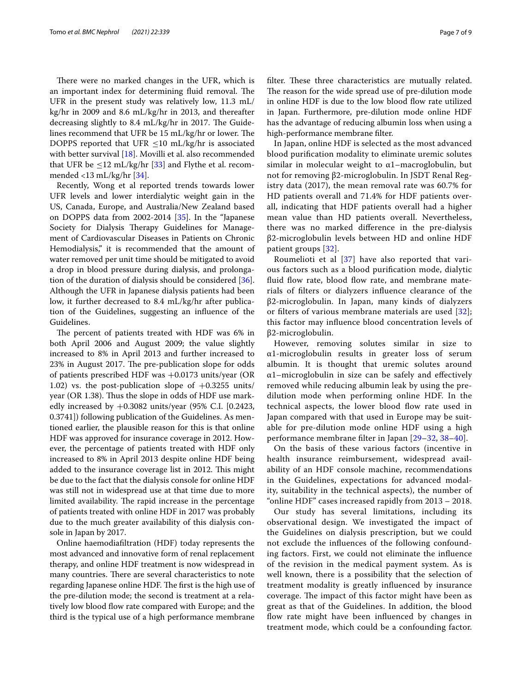There were no marked changes in the UFR, which is an important index for determining fluid removal. The UFR in the present study was relatively low, 11.3 mL/ kg/hr in 2009 and 8.6 mL/kg/hr in 2013, and thereafter decreasing slightly to 8.4 mL/kg/hr in 2017. The Guidelines recommend that UFR be  $15 \text{ mL/kg/hr}$  or lower. The DOPPS reported that UFR  $\leq$ 10 mL/kg/hr is associated with better survival [[18\]](#page-8-3). Movilli et al. also recommended that UFR be  $\leq$ 12 mL/kg/hr [[33\]](#page-8-14) and Flythe et al. recommended <13 mL/kg/hr [[34\]](#page-8-15).

Recently, Wong et al reported trends towards lower UFR levels and lower interdialytic weight gain in the US, Canada, Europe, and Australia/New Zealand based on DOPPS data from 2002-2014 [\[35](#page-8-16)]. In the "Japanese Society for Dialysis Therapy Guidelines for Management of Cardiovascular Diseases in Patients on Chronic Hemodialysis," it is recommended that the amount of water removed per unit time should be mitigated to avoid a drop in blood pressure during dialysis, and prolongation of the duration of dialysis should be considered [\[36](#page-8-17)]. Although the UFR in Japanese dialysis patients had been low, it further decreased to 8.4 mL/kg/hr after publication of the Guidelines, suggesting an infuence of the Guidelines.

The percent of patients treated with HDF was 6% in both April 2006 and August 2009; the value slightly increased to 8% in April 2013 and further increased to 23% in August 2017. The pre-publication slope for odds of patients prescribed HDF was +0.0173 units/year (OR 1.02) vs. the post-publication slope of  $+0.3255$  units/ year (OR 1.38). Thus the slope in odds of HDF use markedly increased by  $+0.3082$  units/year (95% C.I. [0.2423, 0.3741]) following publication of the Guidelines. As mentioned earlier, the plausible reason for this is that online HDF was approved for insurance coverage in 2012. However, the percentage of patients treated with HDF only increased to 8% in April 2013 despite online HDF being added to the insurance coverage list in 2012. This might be due to the fact that the dialysis console for online HDF was still not in widespread use at that time due to more limited availability. The rapid increase in the percentage of patients treated with online HDF in 2017 was probably due to the much greater availability of this dialysis console in Japan by 2017.

Online haemodiafltration (HDF) today represents the most advanced and innovative form of renal replacement therapy, and online HDF treatment is now widespread in many countries. There are several characteristics to note regarding Japanese online HDF. The first is the high use of the pre-dilution mode; the second is treatment at a relatively low blood flow rate compared with Europe; and the third is the typical use of a high performance membrane filter. These three characteristics are mutually related. The reason for the wide spread use of pre-dilution mode in online HDF is due to the low blood fow rate utilized in Japan. Furthermore, pre-dilution mode online HDF has the advantage of reducing albumin loss when using a high-performance membrane flter.

In Japan, online HDF is selected as the most advanced blood purifcation modality to eliminate uremic solutes similar in molecular weight to  $\alpha$ 1-macroglobulin, but not for removing β2-microglobulin. In JSDT Renal Registry data (2017), the mean removal rate was 60.7% for HD patients overall and 71.4% for HDF patients overall, indicating that HDF patients overall had a higher mean value than HD patients overall. Nevertheless, there was no marked diference in the pre-dialysis β2-microglobulin levels between HD and online HDF patient groups [\[32\]](#page-8-12).

Roumelioti et al [\[37](#page-8-18)] have also reported that various factors such as a blood purifcation mode, dialytic fluid flow rate, blood flow rate, and membrane materials of flters or dialyzers infuence clearance of the β2-microglobulin. In Japan, many kinds of dialyzers or flters of various membrane materials are used [[32](#page-8-12)]; this factor may infuence blood concentration levels of β2-microglobulin.

However, removing solutes similar in size to α1-microglobulin results in greater loss of serum albumin. It is thought that uremic solutes around  $\alpha$ 1–microglobulin in size can be safely and effectively removed while reducing albumin leak by using the predilution mode when performing online HDF. In the technical aspects, the lower blood flow rate used in Japan compared with that used in Europe may be suitable for pre-dilution mode online HDF using a high performance membrane flter in Japan [\[29](#page-8-10)[–32,](#page-8-12) [38](#page-8-19)–[40\]](#page-8-20).

On the basis of these various factors (incentive in health insurance reimbursement, widespread availability of an HDF console machine, recommendations in the Guidelines, expectations for advanced modality, suitability in the technical aspects), the number of "online HDF" cases increased rapidly from 2013 – 2018.

Our study has several limitations, including its observational design. We investigated the impact of the Guidelines on dialysis prescription, but we could not exclude the infuences of the following confounding factors. First, we could not eliminate the infuence of the revision in the medical payment system. As is well known, there is a possibility that the selection of treatment modality is greatly infuenced by insurance coverage. The impact of this factor might have been as great as that of the Guidelines. In addition, the blood flow rate might have been influenced by changes in treatment mode, which could be a confounding factor.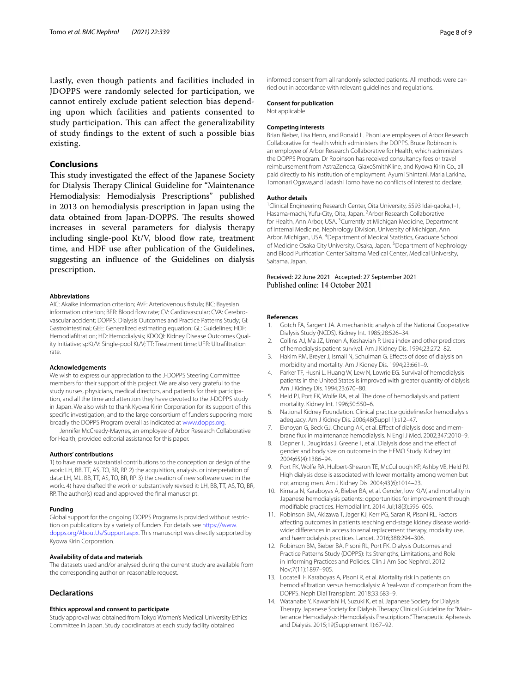Lastly, even though patients and facilities included in JDOPPS were randomly selected for participation, we cannot entirely exclude patient selection bias depending upon which facilities and patients consented to study participation. This can affect the generalizability of study fndings to the extent of such a possible bias existing.

#### **Conclusions**

This study investigated the effect of the Japanese Society for Dialysis Therapy Clinical Guideline for "Maintenance Hemodialysis: Hemodialysis Prescriptions" published in 2013 on hemodialysis prescription in Japan using the data obtained from Japan-DOPPS. The results showed increases in several parameters for dialysis therapy including single-pool Kt/V, blood flow rate, treatment time, and HDF use after publication of the Guidelines, suggesting an infuence of the Guidelines on dialysis prescription.

#### **Abbreviations**

AIC: Akaike information criterion; AVF: Arteriovenous fstula; BIC: Bayesian information criterion; BFR: Blood flow rate; CV: Cardiovascular; CVA: Cerebrovascular accident; DOPPS: Dialysis Outcomes and Practice Patterns Study; GI: Gastrointestinal; GEE: Generalized estimating equation; GL: Guidelines; HDF: Hemodiafltration; HD: Hemodialysis; KDOQI: Kidney Disease Outcomes Quality Initiative; spKt/V: Single-pool Kt/V; TT: Treatment time; UFR: Ultrafltration rate.

#### **Acknowledgements**

We wish to express our appreciation to the J-DOPPS Steering Committee members for their support of this project. We are also very grateful to the study nurses, physicians, medical directors, and patients for their participation, and all the time and attention they have devoted to the J-DOPPS study in Japan. We also wish to thank Kyowa Kirin Corporation for its support of this specifc investigation, and to the large consortium of funders supporing more broadly the DOPPS Program overall as indicated at [www.dopps.org](http://www.dopps.org).

Jennifer McCready-Maynes, an employee of Arbor Research Collaborative for Health, provided editorial assistance for this paper.

#### **Authors' contributions**

1) to have made substantial contributions to the conception or design of the work: LH, BB, TT, AS, TO, BR, RP. 2) the acquisition, analysis, or interpretation of data: LH, ML, BB, TT, AS, TO, BR, RP. 3) the creation of new software used in the work:. 4) have drafted the work or substantively revised it: LH, BB, TT, AS, TO, BR, RP. The author(s) read and approved the fnal manuscript.

#### **Funding**

Global support for the ongoing DOPPS Programs is provided without restriction on publications by a variety of funders. For details see [https://www.](https://www.dopps.org/AboutUs/Support.aspx) [dopps.org/AboutUs/Support.aspx](https://www.dopps.org/AboutUs/Support.aspx). This manuscript was directly supported by Kyowa Kirin Corporation.

#### **Availability of data and materials**

The datasets used and/or analysed during the current study are available from the corresponding author on reasonable request.

#### **Declarations**

#### **Ethics approval and consent to participate**

Study approval was obtained from Tokyo Women's Medical University Ethics Committee in Japan. Study coordinators at each study facility obtained

informed consent from all randomly selected patients. All methods were carried out in accordance with relevant guidelines and regulations.

#### **Consent for publication**

Not applicable

#### **Competing interests**

Brian Bieber, Lisa Henn, and Ronald L. Pisoni are employees of Arbor Research Collaborative for Health which administers the DOPPS. Bruce Robinson is an employee of Arbor Research Collaborative for Health, which administers the DOPPS Program. Dr Robinson has received consultancy fees or travel reimbursement from AstraZeneca, GlaxoSmithKline, and Kyowa Kirin Co., all paid directly to his institution of employment. Ayumi Shintani, Maria Larkina, Tomonari Ogawa,and Tadashi Tomo have no conficts of interest to declare.

#### **Author details**

<sup>1</sup> Clinical Engineering Research Center, Oita University, 5593 Idai-gaoka, 1-1, Hasama-machi, Yufu-City, Oita, Japan. <sup>2</sup> Arbor Research Collaborative for Health, Ann Arbor, USA.<sup>3</sup> Currently at Michigan Medicine, Department of Internal Medicine, Nephrology Division, University of Michigan, Ann Arbor, Michigan, USA. 4 Department of Medical Statistics, Graduate School of Medicine Osaka City University, Osaka, Japan.<sup>5</sup> Department of Nephrology and Blood Purifcation Center Saitama Medical Center, Medical University, Saitama, Japan.

#### Received: 22 June 2021 Accepted: 27 September 2021 Published online: 14 October 2021

#### **References**

- <span id="page-7-0"></span>Gotch FA, Sargent JA. A mechanistic analysis of the National Cooperative Dialysis Study (NCDS). Kidney Int. 1985;28:526–34.
- <span id="page-7-1"></span>2. Collins AJ, Ma JZ, Umen A, Keshaviah P. Urea index and other predictors of hemodialysis patient survival. Am J Kidney Dis. 1994;23:272–82.
- 3. Hakim RM, Breyer J, Ismail N, Schulman G. Efects of dose of dialysis on morbidity and mortality. Am J Kidney Dis. 1994;23:661–9.
- 4. Parker TF, Husni L, Huang W, Lew N, Lowrie EG. Survival of hemodialysis patients in the United States is improved with greater quantity of dialysis. Am J Kidney Dis. 1994;23:670–80.
- <span id="page-7-2"></span>5. Held PJ, Port FK, Wolfe RA, et al. The dose of hemodialysis and patient mortality. Kidney Int. 1996;50:550–6.
- <span id="page-7-3"></span>6. National Kidney Foundation. Clinical practice guidelinesfor hemodialysis adequacy. Am J Kidney Dis. 2006;48(Suppl 1):s12–47.
- <span id="page-7-4"></span>7. Eknoyan G, Beck GJ, Cheung AK, et al. Efect of dialysis dose and membrane fux in maintenance hemodialysis. N Engl J Med. 2002;347:2010–9.
- <span id="page-7-5"></span>8. Depner T, Daugirdas J, Greene T, et al. Dialysis dose and the effect of gender and body size on outcome in the HEMO Study. Kidney Int. 2004;65(4):1386–94.
- <span id="page-7-6"></span>9. Port FK, Wolfe RA, Hulbert-Shearon TE, McCullough KP, Ashby VB, Held PJ. High dialysis dose is associated with lower mortality among women but not among men. Am J Kidney Dis. 2004;43(6):1014–23.
- <span id="page-7-7"></span>10. Kimata N, Karaboyas A, Bieber BA, et al. Gender, low Kt/V, and mortality in Japanese hemodialysis patients: opportunities for improvement through modifable practices. Hemodial Int. 2014 Jul;18(3):596–606.
- <span id="page-7-8"></span>11. Robinson BM, Akizawa T, Jager KJ, Kerr PG, Saran R, Pisoni RL. Factors afecting outcomes in patients reaching end-stage kidney disease worldwide: diferences in access to renal replacement therapy, modality use, and haemodialysis practices. Lancet. 2016;388:294–306.
- <span id="page-7-9"></span>12. Robinson BM, Bieber BA, Pisoni RL, Port FK. Dialysis Outcomes and Practice Patterns Study (DOPPS): Its Strengths, Limitations, and Role in Informing Practices and Policies. Clin J Am Soc Nephrol. 2012 Nov;7(11):1897–905.
- <span id="page-7-10"></span>13. Locatelli F, Karaboyas A, Pisoni R, et al. Mortality risk in patients on hemodiafltration versus hemodialysis: A 'real-world' comparison from the DOPPS. Neph Dial Transplant. 2018;33:683–9.
- <span id="page-7-11"></span>14. Watanabe Y, Kawanishi H, Suzuki K, et al. Japanese Society for Dialysis Therapy Japanese Society for Dialysis Therapy Clinical Guideline for "Maintenance Hemodialysis: Hemodialysis Prescriptions." Therapeutic Apheresis and Dialysis. 2015;19(Supplement 1):67–92.